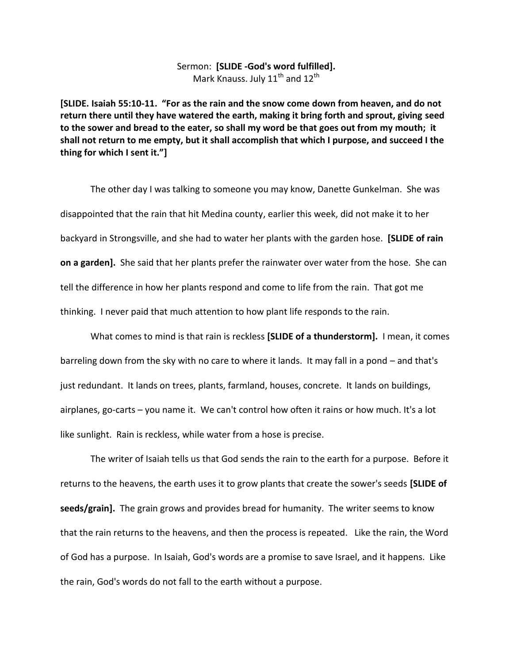## Sermon: **[SLIDE -God's word fulfilled].** Mark Knauss. July  $11^{th}$  and  $12^{th}$

**[SLIDE. Isaiah 55:10-11. "For as the rain and the snow come down from heaven, and do not return there until they have watered the earth, making it bring forth and sprout, giving seed to the sower and bread to the eater, so shall my word be that goes out from my mouth; it shall not return to me empty, but it shall accomplish that which I purpose, and succeed I the thing for which I sent it."]**

The other day I was talking to someone you may know, Danette Gunkelman. She was disappointed that the rain that hit Medina county, earlier this week, did not make it to her backyard in Strongsville, and she had to water her plants with the garden hose. **[SLIDE of rain on a garden].** She said that her plants prefer the rainwater over water from the hose. She can tell the difference in how her plants respond and come to life from the rain. That got me thinking. I never paid that much attention to how plant life responds to the rain.

What comes to mind is that rain is reckless **[SLIDE of a thunderstorm].** I mean, it comes barreling down from the sky with no care to where it lands. It may fall in a pond – and that's just redundant. It lands on trees, plants, farmland, houses, concrete. It lands on buildings, airplanes, go-carts – you name it. We can't control how often it rains or how much. It's a lot like sunlight. Rain is reckless, while water from a hose is precise.

The writer of Isaiah tells us that God sends the rain to the earth for a purpose. Before it returns to the heavens, the earth uses it to grow plants that create the sower's seeds **[SLIDE of seeds/grain].** The grain grows and provides bread for humanity. The writer seems to know that the rain returns to the heavens, and then the process is repeated. Like the rain, the Word of God has a purpose. In Isaiah, God's words are a promise to save Israel, and it happens. Like the rain, God's words do not fall to the earth without a purpose.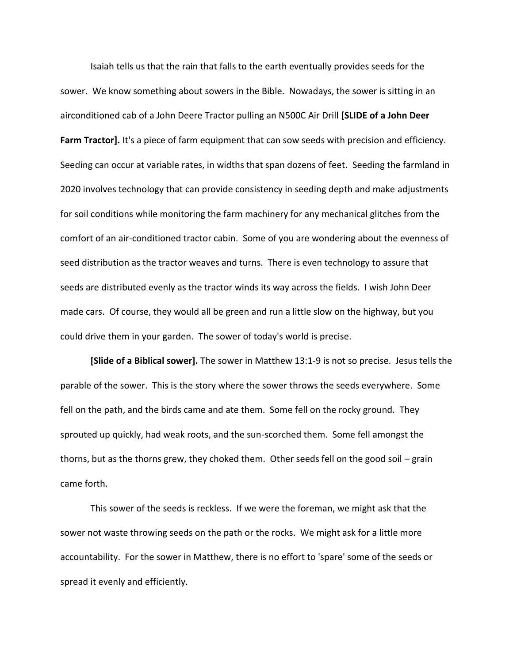Isaiah tells us that the rain that falls to the earth eventually provides seeds for the sower. We know something about sowers in the Bible. Nowadays, the sower is sitting in an airconditioned cab of a John Deere Tractor pulling an N500C Air Drill **[SLIDE of a John Deer Farm Tractor].** It's a piece of farm equipment that can sow seeds with precision and efficiency. Seeding can occur at variable rates, in widths that span dozens of feet. Seeding the farmland in 2020 involves technology that can provide consistency in seeding depth and make adjustments for soil conditions while monitoring the farm machinery for any mechanical glitches from the comfort of an air-conditioned tractor cabin. Some of you are wondering about the evenness of seed distribution as the tractor weaves and turns. There is even technology to assure that seeds are distributed evenly as the tractor winds its way across the fields. I wish John Deer made cars. Of course, they would all be green and run a little slow on the highway, but you could drive them in your garden. The sower of today's world is precise.

**[Slide of a Biblical sower].** The sower in Matthew 13:1-9 is not so precise. Jesus tells the parable of the sower. This is the story where the sower throws the seeds everywhere. Some fell on the path, and the birds came and ate them. Some fell on the rocky ground. They sprouted up quickly, had weak roots, and the sun-scorched them. Some fell amongst the thorns, but as the thorns grew, they choked them. Other seeds fell on the good soil – grain came forth.

This sower of the seeds is reckless. If we were the foreman, we might ask that the sower not waste throwing seeds on the path or the rocks. We might ask for a little more accountability. For the sower in Matthew, there is no effort to 'spare' some of the seeds or spread it evenly and efficiently.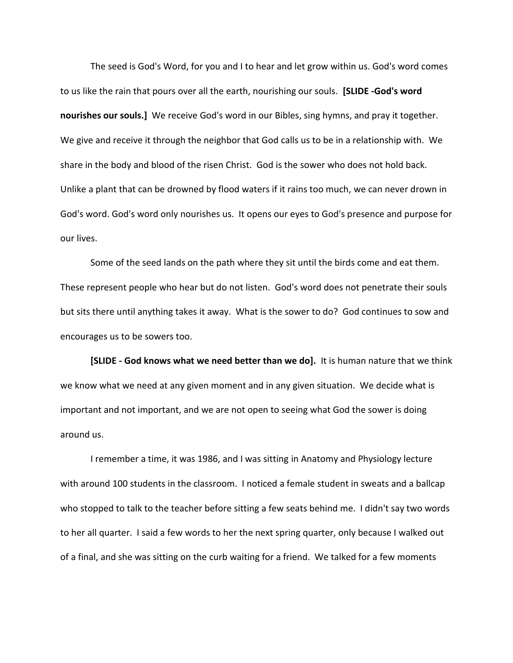The seed is God's Word, for you and I to hear and let grow within us. God's word comes to us like the rain that pours over all the earth, nourishing our souls. **[SLIDE -God's word nourishes our souls.]** We receive God's word in our Bibles, sing hymns, and pray it together. We give and receive it through the neighbor that God calls us to be in a relationship with. We share in the body and blood of the risen Christ. God is the sower who does not hold back. Unlike a plant that can be drowned by flood waters if it rains too much, we can never drown in God's word. God's word only nourishes us. It opens our eyes to God's presence and purpose for our lives.

Some of the seed lands on the path where they sit until the birds come and eat them. These represent people who hear but do not listen. God's word does not penetrate their souls but sits there until anything takes it away. What is the sower to do? God continues to sow and encourages us to be sowers too.

**[SLIDE - God knows what we need better than we do].** It is human nature that we think we know what we need at any given moment and in any given situation. We decide what is important and not important, and we are not open to seeing what God the sower is doing around us.

I remember a time, it was 1986, and I was sitting in Anatomy and Physiology lecture with around 100 students in the classroom. I noticed a female student in sweats and a ballcap who stopped to talk to the teacher before sitting a few seats behind me. I didn't say two words to her all quarter. I said a few words to her the next spring quarter, only because I walked out of a final, and she was sitting on the curb waiting for a friend. We talked for a few moments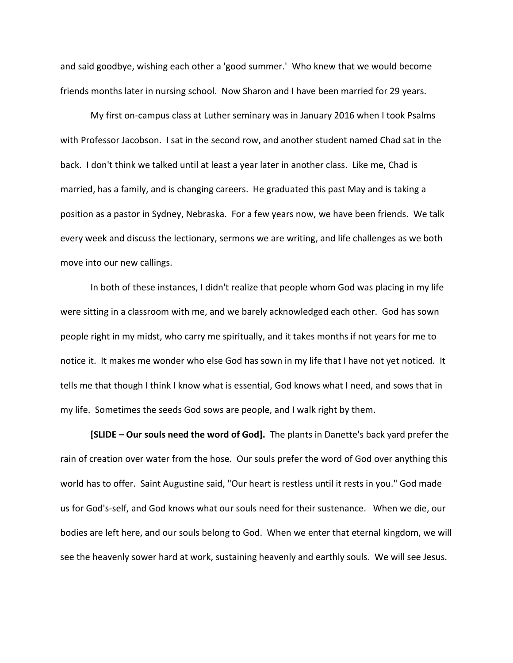and said goodbye, wishing each other a 'good summer.' Who knew that we would become friends months later in nursing school. Now Sharon and I have been married for 29 years.

My first on-campus class at Luther seminary was in January 2016 when I took Psalms with Professor Jacobson. I sat in the second row, and another student named Chad sat in the back. I don't think we talked until at least a year later in another class. Like me, Chad is married, has a family, and is changing careers. He graduated this past May and is taking a position as a pastor in Sydney, Nebraska. For a few years now, we have been friends. We talk every week and discuss the lectionary, sermons we are writing, and life challenges as we both move into our new callings.

In both of these instances, I didn't realize that people whom God was placing in my life were sitting in a classroom with me, and we barely acknowledged each other. God has sown people right in my midst, who carry me spiritually, and it takes months if not years for me to notice it. It makes me wonder who else God has sown in my life that I have not yet noticed. It tells me that though I think I know what is essential, God knows what I need, and sows that in my life. Sometimes the seeds God sows are people, and I walk right by them.

**[SLIDE – Our souls need the word of God].** The plants in Danette's back yard prefer the rain of creation over water from the hose. Our souls prefer the word of God over anything this world has to offer. Saint Augustine said, "Our heart is restless until it rests in you." God made us for God's-self, and God knows what our souls need for their sustenance. When we die, our bodies are left here, and our souls belong to God. When we enter that eternal kingdom, we will see the heavenly sower hard at work, sustaining heavenly and earthly souls. We will see Jesus.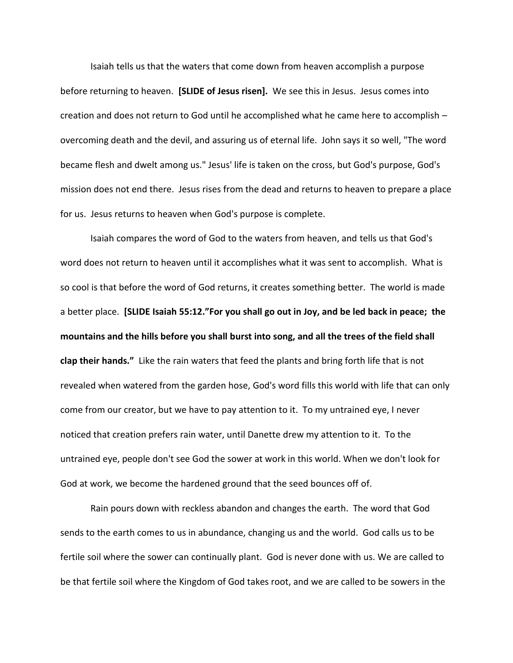Isaiah tells us that the waters that come down from heaven accomplish a purpose before returning to heaven. **[SLIDE of Jesus risen].** We see this in Jesus. Jesus comes into creation and does not return to God until he accomplished what he came here to accomplish – overcoming death and the devil, and assuring us of eternal life. John says it so well, "The word became flesh and dwelt among us." Jesus' life is taken on the cross, but God's purpose, God's mission does not end there. Jesus rises from the dead and returns to heaven to prepare a place for us. Jesus returns to heaven when God's purpose is complete.

Isaiah compares the word of God to the waters from heaven, and tells us that God's word does not return to heaven until it accomplishes what it was sent to accomplish. What is so cool is that before the word of God returns, it creates something better. The world is made a better place. **[SLIDE Isaiah 55:12."For you shall go out in Joy, and be led back in peace; the mountains and the hills before you shall burst into song, and all the trees of the field shall clap their hands."** Like the rain waters that feed the plants and bring forth life that is not revealed when watered from the garden hose, God's word fills this world with life that can only come from our creator, but we have to pay attention to it. To my untrained eye, I never noticed that creation prefers rain water, until Danette drew my attention to it. To the untrained eye, people don't see God the sower at work in this world. When we don't look for God at work, we become the hardened ground that the seed bounces off of.

Rain pours down with reckless abandon and changes the earth. The word that God sends to the earth comes to us in abundance, changing us and the world. God calls us to be fertile soil where the sower can continually plant. God is never done with us. We are called to be that fertile soil where the Kingdom of God takes root, and we are called to be sowers in the